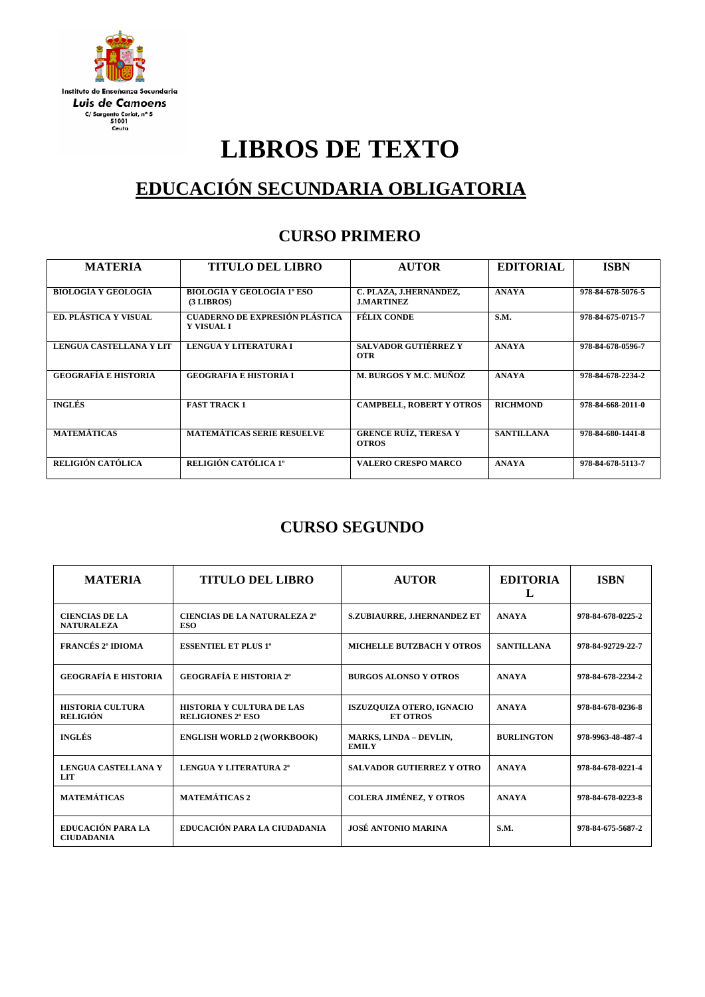

# **LIBROS DE TEXTO**

## **EDUCACIÓN SECUNDARIA OBLIGATORIA**

#### **CURSO PRIMERO**

| <b>MATERIA</b>              | <b>TITULO DEL LIBRO</b>                              | <b>AUTOR</b>                                 | <b>EDITORIAL</b>  | <b>ISBN</b>       |
|-----------------------------|------------------------------------------------------|----------------------------------------------|-------------------|-------------------|
| <b>BIOLOGÍA Y GEOLOGÍA</b>  | <b>BIOLOGÍA Y GEOLOGÍA 1º ESO</b><br>$(3$ LIBROS $)$ | C. PLAZA, J.HERNÁNDEZ,<br><b>J.MARTINEZ</b>  | <b>ANAYA</b>      | 978-84-678-5076-5 |
| ED. PLÁSTICA Y VISUAL       | CUADERNO DE EXPRESIÓN PLÁSTICA<br><b>Y VISUAL I</b>  | <b>FÉLIX CONDE</b>                           | <b>S.M.</b>       | 978-84-675-0715-7 |
| LENGUA CASTELLANA Y LIT     | LENGUA Y LITERATURA I                                | <b>SALVADOR GUTIÉRREZ Y</b><br><b>OTR</b>    | <b>ANAYA</b>      | 978-84-678-0596-7 |
| <b>GEOGRAFÍA E HISTORIA</b> | <b>GEOGRAFIA E HISTORIA I</b>                        | <b>M. BURGOS Y M.C. MUÑOZ</b>                | <b>ANAYA</b>      | 978-84-678-2234-2 |
| <b>INGLÉS</b>               | <b>FAST TRACK 1</b>                                  | <b>CAMPBELL, ROBERT Y OTROS</b>              | <b>RICHMOND</b>   | 978-84-668-2011-0 |
| <b>MATEMÁTICAS</b>          | MATEMÁTICAS SERIE RESUELVE                           | <b>GRENCE RUÍZ, TERESA Y</b><br><b>OTROS</b> | <b>SANTILLANA</b> | 978-84-680-1441-8 |
| RELIGIÓN CATÓLICA           | RELIGIÓN CATÓLICA 1º                                 | <b>VALERO CRESPO MARCO</b>                   | <b>ANAYA</b>      | 978-84-678-5113-7 |

#### **CURSO SEGUNDO**

| <b>MATERIA</b>                             | <b>TITULO DEL LIBRO</b>                                      | <b>AUTOR</b>                                        | <b>EDITORIA</b><br>L | <b>ISBN</b>       |
|--------------------------------------------|--------------------------------------------------------------|-----------------------------------------------------|----------------------|-------------------|
| <b>CIENCIAS DE LA</b><br><b>NATURALEZA</b> | <b>CIENCIAS DE LA NATURALEZA 2º</b><br><b>ESO</b>            | S.ZUBIAURRE, J.HERNANDEZ ET                         | <b>ANAYA</b>         | 978-84-678-0225-2 |
| <b>FRANCÉS 2° IDIOMA</b>                   | <b>ESSENTIEL ET PLUS 1°</b>                                  | <b>MICHELLE BUTZBACH Y OTROS</b>                    | <b>SANTILLANA</b>    | 978-84-92729-22-7 |
| <b>GEOGRAFÍA E HISTORIA</b>                | <b>GEOGRAFÍA E HISTORIA 2°</b>                               | <b>BURGOS ALONSO Y OTROS</b>                        | <b>ANAYA</b>         | 978-84-678-2234-2 |
| <b>HISTORIA CULTURA</b><br><b>RELIGIÓN</b> | <b>HISTORIA Y CULTURA DE LAS</b><br><b>RELIGIONES 2° ESO</b> | <b>ISZUZOUIZA OTERO, IGNACIO</b><br><b>ET OTROS</b> | <b>ANAYA</b>         | 978-84-678-0236-8 |
| <b>INGLÉS</b>                              | <b>ENGLISH WORLD 2 (WORKBOOK)</b>                            | <b>MARKS, LINDA - DEVLIN,</b><br><b>EMILY</b>       | <b>BURLINGTON</b>    | 978-9963-48-487-4 |
| <b>LENGUA CASTELLANA Y</b><br>LIT          | <b>LENGUA Y LITERATURA 2°</b>                                | <b>SALVADOR GUTIERREZ Y OTRO</b>                    | <b>ANAYA</b>         | 978-84-678-0221-4 |
| <b>MATEMÁTICAS</b>                         | <b>MATEMÁTICAS 2</b>                                         | <b>COLERA JIMÉNEZ, Y OTROS</b>                      | <b>ANAYA</b>         | 978-84-678-0223-8 |
| EDUCACIÓN PARA LA<br><b>CIUDADANIA</b>     | EDUCACIÓN PARA LA CIUDADANIA                                 | <b>JOSÉ ANTONIO MARINA</b>                          | S.M.                 | 978-84-675-5687-2 |